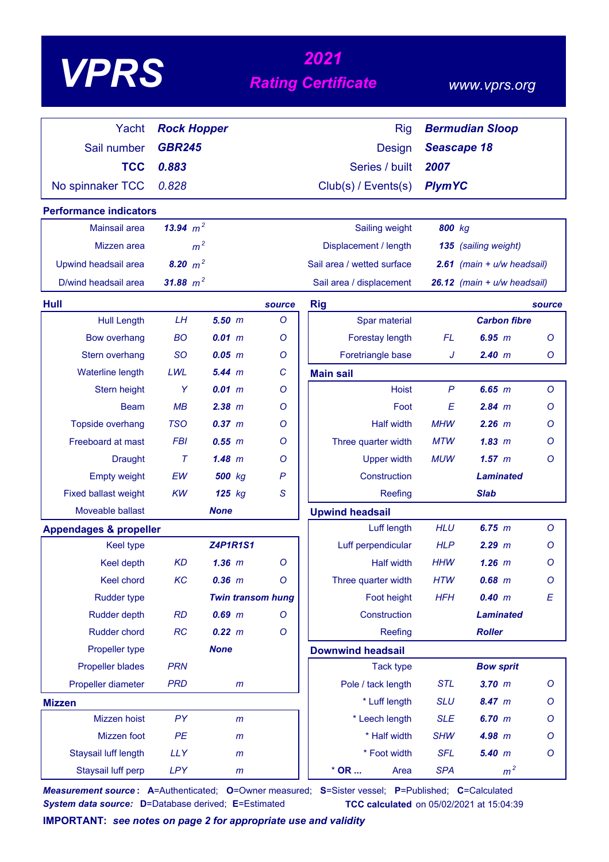# *<sup>2021</sup> VPRS Rating Certificate*

### *www.vprs.org*

| Yacht                             |                                     |                          |         | <b>Rig</b>                 |                                              |                              |         |  |  |
|-----------------------------------|-------------------------------------|--------------------------|---------|----------------------------|----------------------------------------------|------------------------------|---------|--|--|
|                                   | <b>Rock Hopper</b><br><b>GBR245</b> |                          |         |                            | <b>Bermudian Sloop</b><br><b>Seascape 18</b> |                              |         |  |  |
| Sail number                       |                                     |                          |         | <b>Design</b>              |                                              |                              |         |  |  |
| <b>TCC</b>                        | 0.883                               |                          |         | Series / built             | 2007                                         |                              |         |  |  |
| No spinnaker TCC                  | 0.828                               |                          |         | Club(s) / Events(s)        | <b>PlymYC</b>                                |                              |         |  |  |
| <b>Performance indicators</b>     |                                     |                          |         |                            |                                              |                              |         |  |  |
| <b>Mainsail area</b>              | 13.94 $m^2$                         |                          |         | Sailing weight             | 800 kg                                       |                              |         |  |  |
| Mizzen area                       | m <sup>2</sup>                      |                          |         | Displacement / length      |                                              | 135 (sailing weight)         |         |  |  |
| Upwind headsail area              | 8.20 $m^2$                          |                          |         | Sail area / wetted surface |                                              | 2.61 (main $+ u/w$ headsail) |         |  |  |
| D/wind headsail area              | 31.88 $m^2$                         |                          |         | Sail area / displacement   |                                              | 26.12 (main + u/w headsail)  |         |  |  |
| Hull                              |                                     |                          | source  | <b>Rig</b>                 |                                              |                              | source  |  |  |
| <b>Hull Length</b>                | LH                                  | $5.50$ $m$               | O       | Spar material              |                                              | <b>Carbon fibre</b>          |         |  |  |
| <b>Bow overhang</b>               | <b>BO</b>                           | 0.01 m                   | Ο       | Forestay length            | FL.                                          | 6.95 m                       | $\circ$ |  |  |
| Stern overhang                    | <b>SO</b>                           | $0.05$ $m$               | $\circ$ | Foretriangle base          | J                                            | 2.40 m                       | O       |  |  |
| <b>Waterline length</b>           | LWL                                 | 5.44 m                   | C       | <b>Main sail</b>           |                                              |                              |         |  |  |
| Stern height                      | Y                                   | 0.01 m                   | Ο       | <b>Hoist</b>               | P                                            | 6.65~m                       | $\circ$ |  |  |
| <b>Beam</b>                       | MB                                  | $2.38$ $m$               | Ο       | Foot                       | E                                            | $2.84$ m                     | O       |  |  |
| Topside overhang                  | <b>TSO</b>                          | $0.37$ $m$               | O       | <b>Half width</b>          | <b>MHW</b>                                   | $2.26$ m                     | $\circ$ |  |  |
| Freeboard at mast                 | <b>FBI</b>                          | 0.55 m                   | Ο       | Three quarter width        | <b>MTW</b>                                   | 1.83~m                       | $\circ$ |  |  |
| <b>Draught</b>                    | $\tau$                              | 1.48~m                   | O       | <b>Upper width</b>         | <b>MUW</b>                                   | 1.57~m                       | $\circ$ |  |  |
| <b>Empty weight</b>               | EW                                  | 500 kg                   | P       | Construction               |                                              | Laminated                    |         |  |  |
| <b>Fixed ballast weight</b>       | <b>KW</b>                           | 125 kg                   | S       | Reefing                    |                                              | <b>Slab</b>                  |         |  |  |
| Moveable ballast                  |                                     | <b>None</b>              |         | <b>Upwind headsail</b>     |                                              |                              |         |  |  |
| <b>Appendages &amp; propeller</b> |                                     |                          |         | Luff length                | <b>HLU</b>                                   | 6.75 m                       | $\circ$ |  |  |
| <b>Keel type</b>                  |                                     | <b>Z4P1R1S1</b>          |         | Luff perpendicular         | <b>HLP</b>                                   | $2.29$ $m$                   | Ο       |  |  |
| Keel depth                        | <b>KD</b>                           | $1.36$ m                 | $\circ$ | <b>Half width</b>          | HHW                                          | $1.26$ m                     | $\circ$ |  |  |
| Keel chord                        | KC                                  | $0.36$ $m$               | $\circ$ | Three quarter width        | <b>HTW</b>                                   | $0.68$ $m$                   | $\circ$ |  |  |
| <b>Rudder type</b>                |                                     | <b>Twin transom hung</b> |         | Foot height                | <b>HFH</b>                                   | 0.40 m                       | E       |  |  |
| <b>Rudder depth</b>               | <b>RD</b>                           | $0.69$ $m$               | Ο       | Construction               |                                              | <b>Laminated</b>             |         |  |  |
| <b>Rudder chord</b>               | RC                                  | 0.22 m                   | O       | Reefing                    |                                              | <b>Roller</b>                |         |  |  |
| Propeller type                    |                                     | <b>None</b>              |         | <b>Downwind headsail</b>   |                                              |                              |         |  |  |
| <b>Propeller blades</b>           | <b>PRN</b>                          |                          |         | <b>Tack type</b>           |                                              | <b>Bow sprit</b>             |         |  |  |
| Propeller diameter                | <b>PRD</b>                          | m                        |         | Pole / tack length         | <b>STL</b>                                   | $3.70$ m                     | O       |  |  |
| <b>Mizzen</b>                     |                                     |                          |         | * Luff length              | <b>SLU</b>                                   | 8.47 m                       | O       |  |  |
| Mizzen hoist                      | PY                                  | $\mathsf{m}$             |         | * Leech length             | <b>SLE</b>                                   | 6.70 m                       | O       |  |  |
| Mizzen foot                       | PE                                  | $\mathsf{m}$             |         | * Half width               | <b>SHW</b>                                   | 4.98 m                       | $\circ$ |  |  |
| Staysail luff length              | <b>LLY</b>                          | $\mathsf{m}$             |         | * Foot width               | <b>SFL</b>                                   | 5.40 m                       | $\circ$ |  |  |
| Staysail luff perp                | <b>LPY</b>                          | m                        |         | $*$ OR<br>Area             | <b>SPA</b>                                   | m <sup>2</sup>               |         |  |  |

*Measurement source* **: A**=Authenticated; **O**=Owner measured; **S**=Sister vessel; **P**=Published; **C**=Calculated *System data source:* **D**=Database derived; **E**=Estimated **TCC calculated** on 05/02/2021 at 15:04:39

**IMPORTANT:** *see notes on page 2 for appropriate use and validity*